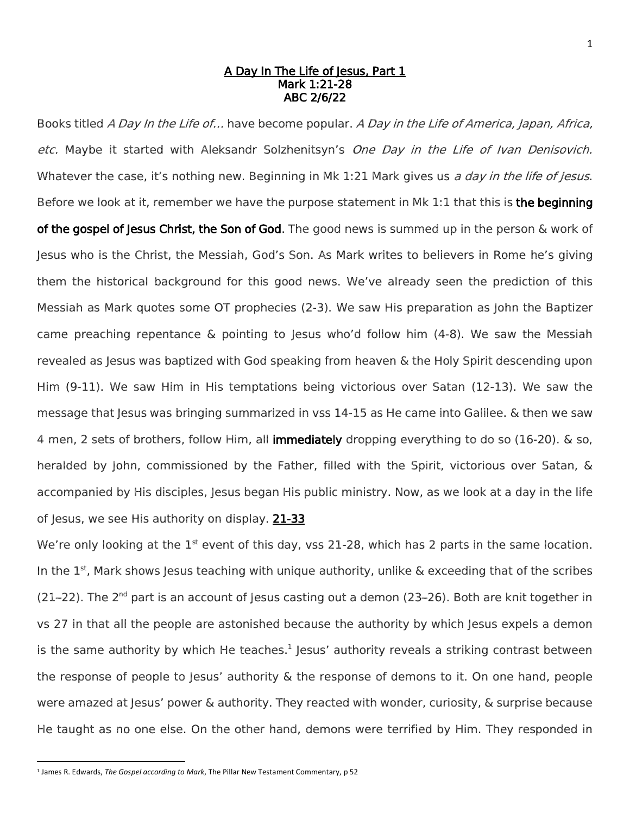## A Day In The Life of Jesus, Part 1 Mark 1:21-28 ABC 2/6/22

Books titled A Day In the Life of... have become popular. A Day in the Life of America, Japan, Africa, etc. Maybe it started with Aleksandr Solzhenitsyn's One Day in the Life of Ivan Denisovich. Whatever the case, it's nothing new. Beginning in Mk 1:21 Mark gives us a day in the life of lesus. Before we look at it, remember we have the purpose statement in Mk 1:1 that this is the beginning of the gospel of Jesus Christ, the Son of God. The good news is summed up in the person  $\&$  work of Jesus who is the Christ, the Messiah, God's Son. As Mark writes to believers in Rome he's giving them the historical background for this good news. We've already seen the prediction of this Messiah as Mark quotes some OT prophecies (2-3). We saw His preparation as John the Baptizer came preaching repentance & pointing to Jesus who'd follow him (4-8). We saw the Messiah revealed as Jesus was baptized with God speaking from heaven & the Holy Spirit descending upon Him (9-11). We saw Him in His temptations being victorious over Satan (12-13). We saw the message that Jesus was bringing summarized in vss 14-15 as He came into Galilee. & then we saw 4 men, 2 sets of brothers, follow Him, all **immediately** dropping everything to do so (16-20). & so, heralded by John, commissioned by the Father, filled with the Spirit, victorious over Satan, & accompanied by His disciples, Jesus began His public ministry. Now, as we look at a day in the life of Jesus, we see His authority on display. 21-33

We're only looking at the  $1<sup>st</sup>$  event of this day, vss 21-28, which has 2 parts in the same location. In the  $1<sup>st</sup>$ , Mark shows Jesus teaching with unique authority, unlike & exceeding that of the scribes  $(21-22)$ . The 2<sup>nd</sup> part is an account of Jesus casting out a demon  $(23-26)$ . Both are knit together in vs 27 in that all the people are astonished because the authority by which Jesus expels a demon is the same authority by which He teaches. $^1$  Jesus' authority reveals a striking contrast between the response of people to Jesus' authority & the response of demons to it. On one hand, people were amazed at Jesus' power & authority. They reacted with wonder, curiosity, & surprise because He taught as no one else. On the other hand, demons were terrified by Him. They responded in

 $\overline{a}$ 

<sup>1</sup> James R. Edwards, *The Gospel according to Mark*, The Pillar New Testament Commentary, p 52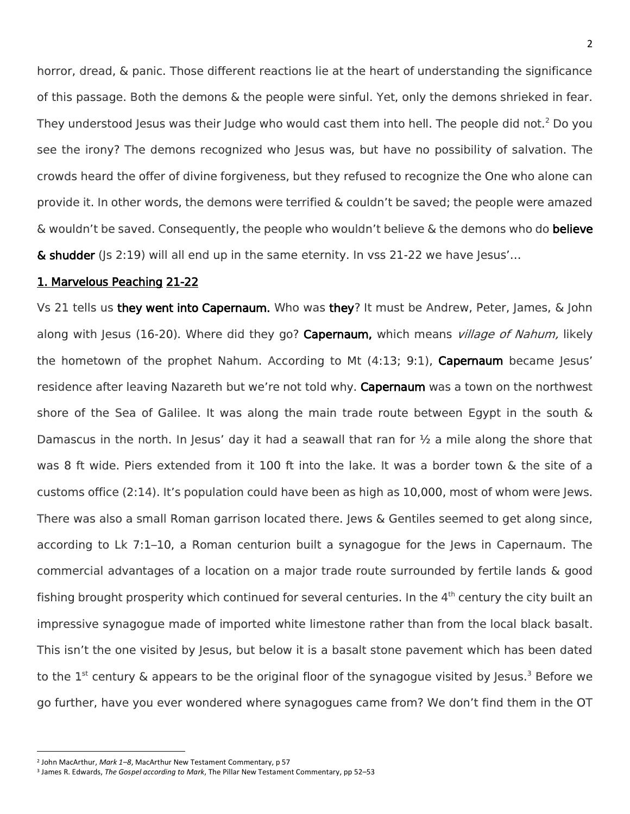horror, dread, & panic. Those different reactions lie at the heart of understanding the significance of this passage. Both the demons & the people were sinful. Yet, only the demons shrieked in fear. They understood Jesus was their Judge who would cast them into hell. The people did not.<sup>2</sup> Do you see the irony? The demons recognized who Jesus was, but have no possibility of salvation. The crowds heard the offer of divine forgiveness, but they refused to recognize the One who alone can provide it. In other words, the demons were terrified & couldn't be saved; the people were amazed  $\&$  wouldn't be saved. Consequently, the people who wouldn't believe  $\&$  the demons who do believe  $\&$  shudder (Is 2:19) will all end up in the same eternity. In vss 21-22 we have Jesus'...

## 1. Marvelous Peaching 21-22

Vs 21 tells us they went into Capernaum. Who was they? It must be Andrew, Peter, James, & John along with Jesus (16-20). Where did they go? Capernaum, which means *village of Nahum*, likely the hometown of the prophet Nahum. According to Mt  $(4:13; 9:1)$ , Capernaum became Jesus' residence after leaving Nazareth but we're not told why. Capernaum was a town on the northwest shore of the Sea of Galilee. It was along the main trade route between Egypt in the south & Damascus in the north. In Jesus' day it had a seawall that ran for  $\frac{1}{2}$  a mile along the shore that was 8 ft wide. Piers extended from it 100 ft into the lake. It was a border town & the site of a customs office (2:14). It's population could have been as high as 10,000, most of whom were Jews. There was also a small Roman garrison located there. Jews & Gentiles seemed to get along since, according to Lk 7:1–10, a Roman centurion built a synagogue for the Jews in Capernaum. The commercial advantages of a location on a major trade route surrounded by fertile lands & good fishing brought prosperity which continued for several centuries. In the 4<sup>th</sup> century the city built an impressive synagogue made of imported white limestone rather than from the local black basalt. This isn't the one visited by Jesus, but below it is a basalt stone pavement which has been dated to the 1<sup>st</sup> century & appears to be the original floor of the synagogue visited by Jesus.<sup>3</sup> Before we go further, have you ever wondered where synagogues came from? We don't find them in the OT

 $\overline{\phantom{a}}$ 

<sup>2</sup> John MacArthur, *Mark 1–8*, MacArthur New Testament Commentary, p 57

<sup>3</sup> James R. Edwards, *The Gospel according to Mark*, The Pillar New Testament Commentary, pp 52–53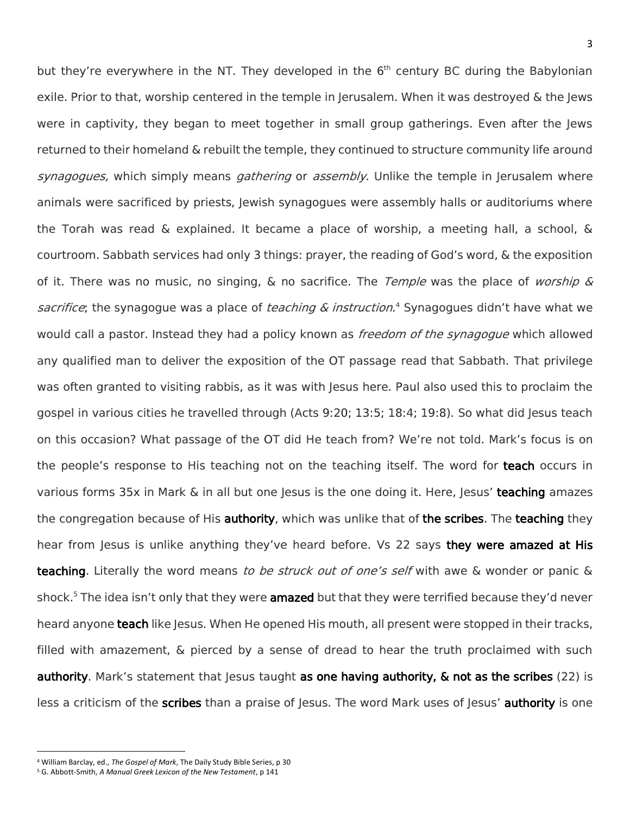but they're everywhere in the NT. They developed in the  $6<sup>th</sup>$  century BC during the Babylonian exile. Prior to that, worship centered in the temple in Jerusalem. When it was destroyed & the Jews were in captivity, they began to meet together in small group gatherings. Even after the Jews returned to their homeland & rebuilt the temple, they continued to structure community life around synagogues, which simply means *gathering* or *assembly*. Unlike the temple in Jerusalem where animals were sacrificed by priests, Jewish synagogues were assembly halls or auditoriums where the Torah was read & explained. It became a place of worship, a meeting hall, a school, & courtroom. Sabbath services had only 3 things: prayer, the reading of God's word, & the exposition of it. There was no music, no singing,  $\&$  no sacrifice. The *Temple* was the place of *worship*  $\&$ sacrifice; the synagogue was a place of *teaching & instruction*.<sup>4</sup> Synagogues didn't have what we would call a pastor. Instead they had a policy known as *freedom of the synagogue* which allowed any qualified man to deliver the exposition of the OT passage read that Sabbath. That privilege was often granted to visiting rabbis, as it was with Jesus here. Paul also used this to proclaim the gospel in various cities he travelled through (Acts 9:20; 13:5; 18:4; 19:8). So what did Jesus teach on this occasion? What passage of the OT did He teach from? We're not told. Mark's focus is on the people's response to His teaching not on the teaching itself. The word for teach occurs in various forms 35x in Mark & in all but one Jesus is the one doing it. Here, Jesus' teaching amazes the congregation because of His authority, which was unlike that of the scribes. The teaching they hear from Jesus is unlike anything they've heard before. Vs 22 says they were amazed at His teaching. Literally the word means to be struck out of one's self with awe & wonder or panic & shock.<sup>5</sup> The idea isn't only that they were **amazed** but that they were terrified because they'd never heard anyone **teach** like Jesus. When He opened His mouth, all present were stopped in their tracks, filled with amazement, & pierced by a sense of dread to hear the truth proclaimed with such authority. Mark's statement that Jesus taught as one having authority, & not as the scribes (22) is less a criticism of the scribes than a praise of Jesus. The word Mark uses of Jesus' authority is one

 $\overline{\phantom{a}}$ 

<sup>4</sup> William Barclay, ed., *The Gospel of Mark*, The Daily Study Bible Series, p 30

<sup>5</sup> G. Abbott-Smith, *A Manual Greek Lexicon of the New Testament*, p 141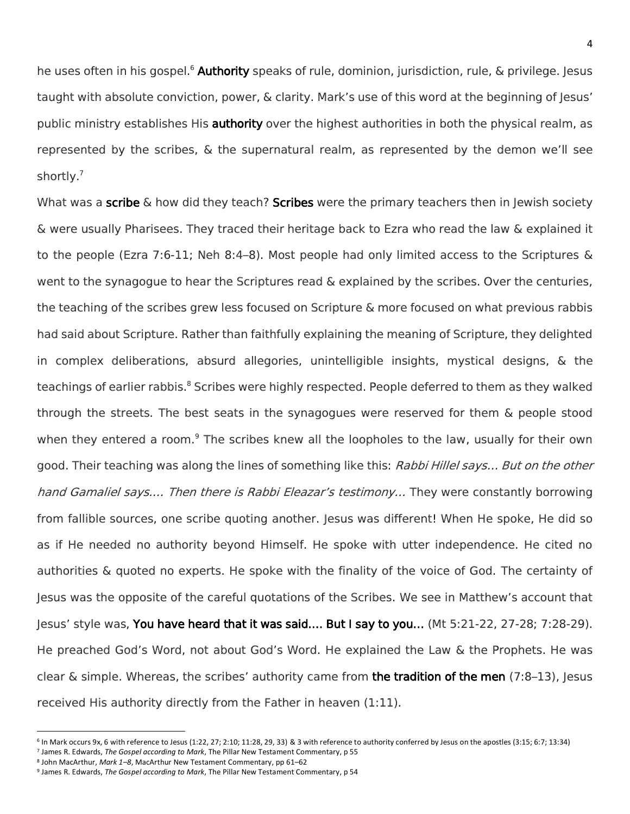he uses often in his gospel.<sup>6</sup> Authority speaks of rule, dominion, jurisdiction, rule, & privilege. Jesus taught with absolute conviction, power, & clarity. Mark's use of this word at the beginning of Jesus' public ministry establishes His authority over the highest authorities in both the physical realm, as represented by the scribes, & the supernatural realm, as represented by the demon we'll see shortly.<sup>7</sup>

What was a scribe  $\&$  how did they teach? Scribes were the primary teachers then in Jewish society & were usually Pharisees. They traced their heritage back to Ezra who read the law & explained it to the people (Ezra 7:6-11; Neh 8:4–8). Most people had only limited access to the Scriptures & went to the synagogue to hear the Scriptures read & explained by the scribes. Over the centuries, the teaching of the scribes grew less focused on Scripture & more focused on what previous rabbis had said about Scripture. Rather than faithfully explaining the meaning of Scripture, they delighted in complex deliberations, absurd allegories, unintelligible insights, mystical designs, & the teachings of earlier rabbis.<sup>8</sup> Scribes were highly respected. People deferred to them as they walked through the streets. The best seats in the synagogues were reserved for them & people stood when they entered a room.<sup>9</sup> The scribes knew all the loopholes to the law, usually for their own good. Their teaching was along the lines of something like this: Rabbi Hillel says... But on the other hand Gamaliel says.... Then there is Rabbi Eleazar's testimony... They were constantly borrowing from fallible sources, one scribe quoting another. Jesus was different! When He spoke, He did so as if He needed no authority beyond Himself. He spoke with utter independence. He cited no authorities & quoted no experts. He spoke with the finality of the voice of God. The certainty of Jesus was the opposite of the careful quotations of the Scribes. We see in Matthew's account that Jesus' style was, You have heard that it was said.… But I say to you… (Mt 5:21-22, 27-28; 7:28-29). He preached God's Word, not about God's Word. He explained the Law & the Prophets. He was clear & simple. Whereas, the scribes' authority came from the tradition of the men  $(7.8-13)$ , Jesus received His authority directly from the Father in heaven (1:11).

 $\overline{a}$ 

<sup>6</sup> In Mark occurs 9x, 6 with reference to Jesus (1:22, 27; 2:10; 11:28, 29, 33) & 3 with reference to authority conferred by Jesus on the apostles (3:15; 6:7; 13:34) 7 James R. Edwards, *The Gospel according to Mark*, The Pillar New Testament Commentary, p 55

<sup>8</sup> John MacArthur, *Mark 1–8*, MacArthur New Testament Commentary, pp 61–62

<sup>9</sup> James R. Edwards, *The Gospel according to Mark*, The Pillar New Testament Commentary, p 54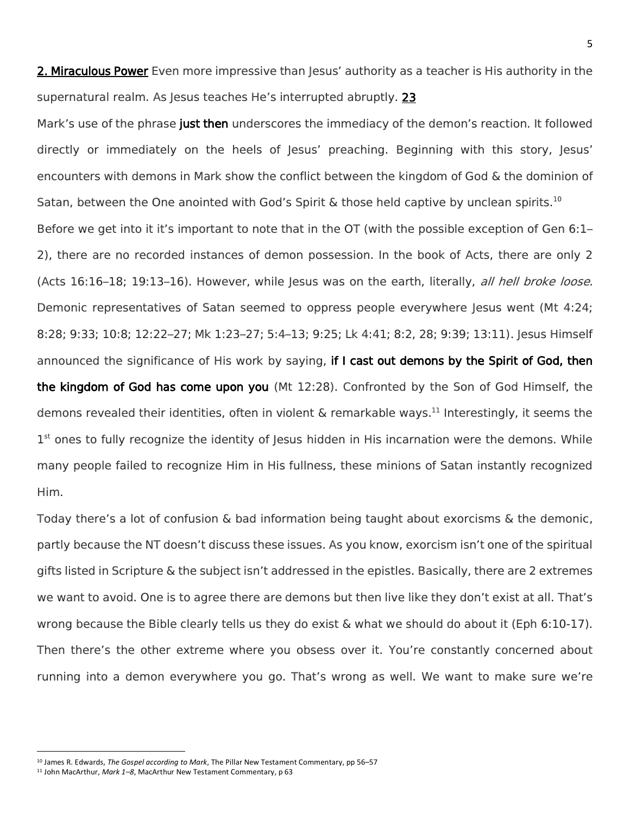2. Miraculous Power Even more impressive than Jesus' authority as a teacher is His authority in the supernatural realm. As lesus teaches He's interrupted abruptly. 23

Mark's use of the phrase just then underscores the immediacy of the demon's reaction. It followed directly or immediately on the heels of Jesus' preaching. Beginning with this story, Jesus' encounters with demons in Mark show the conflict between the kingdom of God & the dominion of Satan, between the One anointed with God's Spirit & those held captive by unclean spirits.<sup>10</sup> Before we get into it it's important to note that in the OT (with the possible exception of Gen 6:1– 2), there are no recorded instances of demon possession. In the book of Acts, there are only 2 (Acts  $16:16-18$ ;  $19:13-16$ ). However, while Jesus was on the earth, literally, all hell broke loose.

Demonic representatives of Satan seemed to oppress people everywhere Jesus went (Mt 4:24; 8:28; 9:33; 10:8; 12:22–27; Mk 1:23–27; 5:4–13; 9:25; Lk 4:41; 8:2, 28; 9:39; 13:11). Jesus Himself announced the significance of His work by saying, if I cast out demons by the Spirit of God, then the kingdom of God has come upon you (Mt 12:28). Confronted by the Son of God Himself, the demons revealed their identities, often in violent  $\&$  remarkable ways.<sup>11</sup> Interestingly, it seems the 1<sup>st</sup> ones to fully recognize the identity of Jesus hidden in His incarnation were the demons. While many people failed to recognize Him in His fullness, these minions of Satan instantly recognized Him.

Today there's a lot of confusion & bad information being taught about exorcisms & the demonic, partly because the NT doesn't discuss these issues. As you know, exorcism isn't one of the spiritual gifts listed in Scripture & the subject isn't addressed in the epistles. Basically, there are 2 extremes we want to avoid. One is to agree there are demons but then live like they don't exist at all. That's wrong because the Bible clearly tells us they do exist & what we should do about it (Eph 6:10-17). Then there's the other extreme where you obsess over it. You're constantly concerned about running into a demon everywhere you go. That's wrong as well. We want to make sure we're

 $\overline{\phantom{a}}$ 

<sup>10</sup> James R. Edwards, *The Gospel according to Mark*, The Pillar New Testament Commentary, pp 56–57

<sup>11</sup> John MacArthur, *Mark 1–8*, MacArthur New Testament Commentary, p 63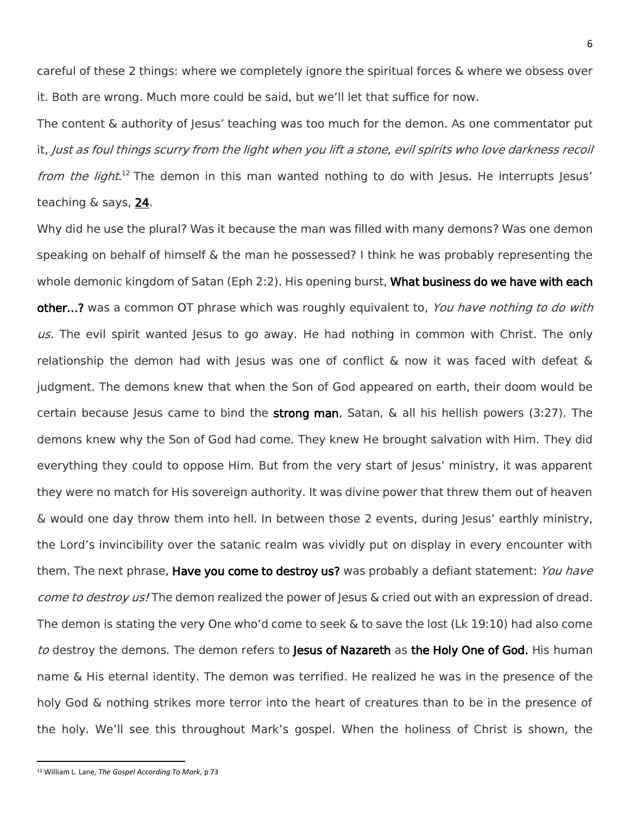careful of these 2 things: where we completely ignore the spiritual forces & where we obsess over it. Both are wrong. Much more could be said, but we'll let that suffice for now.

The content & authority of Jesus' teaching was too much for the demon. As one commentator put it, Just as foul things scurry from the light when you lift a stone, evil spirits who love darkness recoil from the light.<sup>12</sup> The demon in this man wanted nothing to do with Jesus. He interrupts Jesus' teaching & says, 24.

Why did he use the plural? Was it because the man was filled with many demons? Was one demon speaking on behalf of himself & the man he possessed? I think he was probably representing the whole demonic kingdom of Satan (Eph 2:2). His opening burst, What business do we have with each other...? was a common OT phrase which was roughly equivalent to, You have nothing to do with us. The evil spirit wanted Jesus to go away. He had nothing in common with Christ. The only relationship the demon had with Jesus was one of conflict  $\&$  now it was faced with defeat  $\&$ judgment. The demons knew that when the Son of God appeared on earth, their doom would be certain because Jesus came to bind the **strong man**, Satan,  $\&$  all his hellish powers (3:27). The demons knew why the Son of God had come. They knew He brought salvation with Him. They did everything they could to oppose Him. But from the very start of Jesus' ministry, it was apparent they were no match for His sovereign authority. It was divine power that threw them out of heaven & would one day throw them into hell. In between those 2 events, during Jesus' earthly ministry, the Lord's invincibility over the satanic realm was vividly put on display in every encounter with them. The next phrase, Have you come to destroy us? was probably a defiant statement: You have come to destroy us! The demon realized the power of Jesus & cried out with an expression of dread. The demon is stating the very One who'd come to seek & to save the lost (Lk 19:10) had also come to destroy the demons. The demon refers to Jesus of Nazareth as the Holy One of God. His human name & His eternal identity. The demon was terrified. He realized he was in the presence of the holy God & nothing strikes more terror into the heart of creatures than to be in the presence of the holy. We'll see this throughout Mark's gospel. When the holiness of Christ is shown, the

 $\overline{a}$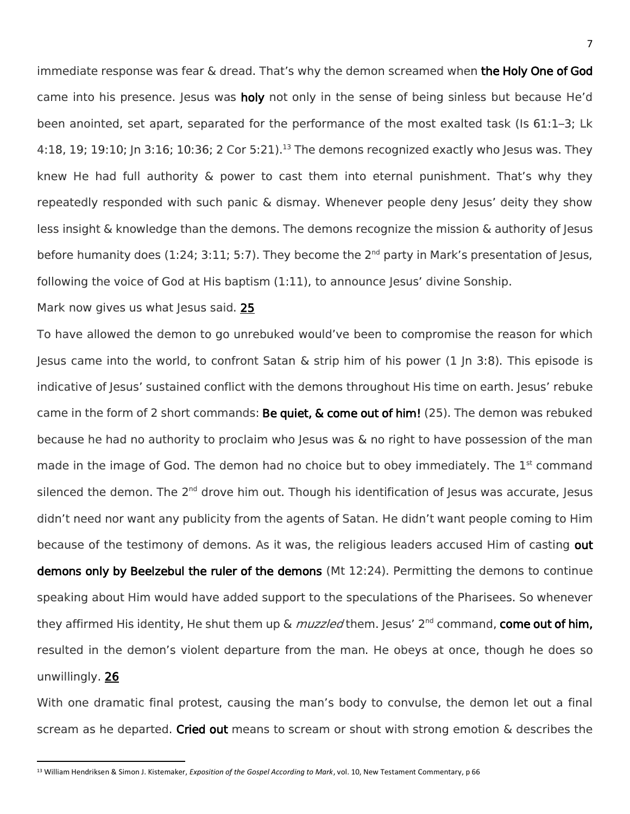immediate response was fear & dread. That's why the demon screamed when the Holy One of God came into his presence. Jesus was holy not only in the sense of being sinless but because He'd been anointed, set apart, separated for the performance of the most exalted task (Is 61:1–3; Lk 4:18, 19; 19:10; Jn 3:16; 10:36; 2 Cor 5:21).<sup>13</sup> The demons recognized exactly who Jesus was. They knew He had full authority & power to cast them into eternal punishment. That's why they repeatedly responded with such panic & dismay. Whenever people deny Jesus' deity they show less insight & knowledge than the demons. The demons recognize the mission & authority of Jesus before humanity does (1:24; 3:11; 5:7). They become the 2<sup>nd</sup> party in Mark's presentation of Jesus, following the voice of God at His baptism (1:11), to announce Jesus' divine Sonship.

## Mark now gives us what Jesus said. 25

 $\overline{a}$ 

To have allowed the demon to go unrebuked would've been to compromise the reason for which Jesus came into the world, to confront Satan & strip him of his power  $(1 \text{ } | \text{ } n \text{ } 3:8)$ . This episode is indicative of Jesus' sustained conflict with the demons throughout His time on earth. Jesus' rebuke came in the form of 2 short commands: Be quiet, & come out of him! (25). The demon was rebuked because he had no authority to proclaim who Jesus was & no right to have possession of the man made in the image of God. The demon had no choice but to obey immediately. The  $1<sup>st</sup>$  command silenced the demon. The 2<sup>nd</sup> drove him out. Though his identification of Jesus was accurate, Jesus didn't need nor want any publicity from the agents of Satan. He didn't want people coming to Him because of the testimony of demons. As it was, the religious leaders accused Him of casting out demons only by Beelzebul the ruler of the demons (Mt 12:24). Permitting the demons to continue speaking about Him would have added support to the speculations of the Pharisees. So whenever they affirmed His identity, He shut them up  $\&$  muzzled them. Jesus'  $2^{nd}$  command, come out of him, resulted in the demon's violent departure from the man. He obeys at once, though he does so unwillingly. 26

With one dramatic final protest, causing the man's body to convulse, the demon let out a final scream as he departed. Cried out means to scream or shout with strong emotion  $\&$  describes the

<sup>13</sup> William Hendriksen & Simon J. Kistemaker, *Exposition of the Gospel According to Mark*, vol. 10, New Testament Commentary, p 66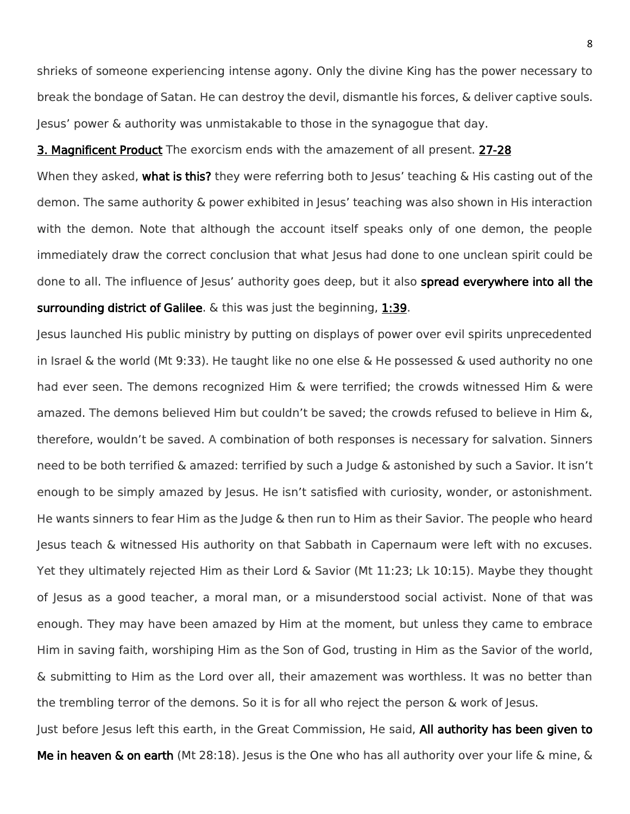shrieks of someone experiencing intense agony. Only the divine King has the power necessary to break the bondage of Satan. He can destroy the devil, dismantle his forces, & deliver captive souls. Jesus' power & authority was unmistakable to those in the synagogue that day.

**3. Magnificent Product** The exorcism ends with the amazement of all present. 27-28

When they asked, what is this? they were referring both to Jesus' teaching  $\&$  His casting out of the demon. The same authority & power exhibited in Jesus' teaching was also shown in His interaction with the demon. Note that although the account itself speaks only of one demon, the people immediately draw the correct conclusion that what Jesus had done to one unclean spirit could be done to all. The influence of Jesus' authority goes deep, but it also spread everywhere into all the surrounding district of Galilee. & this was just the beginning, 1:39.

Jesus launched His public ministry by putting on displays of power over evil spirits unprecedented in Israel & the world (Mt 9:33). He taught like no one else & He possessed & used authority no one had ever seen. The demons recognized Him & were terrified; the crowds witnessed Him & were amazed. The demons believed Him but couldn't be saved; the crowds refused to believe in Him &, therefore, wouldn't be saved. A combination of both responses is necessary for salvation. Sinners need to be both terrified & amazed: terrified by such a Judge & astonished by such a Savior. It isn't enough to be simply amazed by Jesus. He isn't satisfied with curiosity, wonder, or astonishment. He wants sinners to fear Him as the Judge & then run to Him as their Savior. The people who heard Jesus teach & witnessed His authority on that Sabbath in Capernaum were left with no excuses. Yet they ultimately rejected Him as their Lord & Savior (Mt 11:23; Lk 10:15). Maybe they thought of Jesus as a good teacher, a moral man, or a misunderstood social activist. None of that was enough. They may have been amazed by Him at the moment, but unless they came to embrace Him in saving faith, worshiping Him as the Son of God, trusting in Him as the Savior of the world, & submitting to Him as the Lord over all, their amazement was worthless. It was no better than the trembling terror of the demons. So it is for all who reject the person & work of Jesus.

Just before Jesus left this earth, in the Great Commission, He said, All authority has been given to **Me in heaven & on earth** (Mt 28:18). Jesus is the One who has all authority over your life & mine, &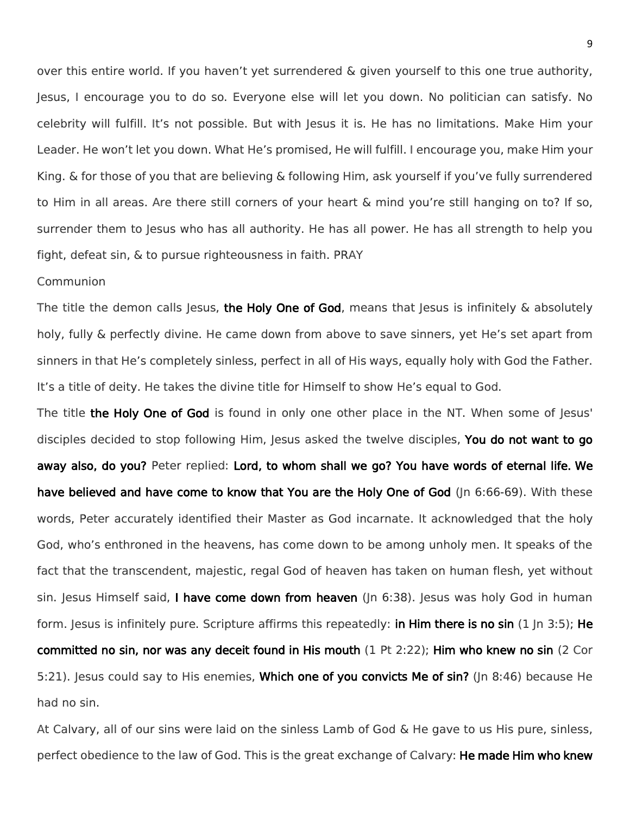over this entire world. If you haven't yet surrendered & given yourself to this one true authority, Jesus, I encourage you to do so. Everyone else will let you down. No politician can satisfy. No celebrity will fulfill. It's not possible. But with Jesus it is. He has no limitations. Make Him your Leader. He won't let you down. What He's promised, He will fulfill. I encourage you, make Him your King. & for those of you that are believing & following Him, ask yourself if you've fully surrendered to Him in all areas. Are there still corners of your heart & mind you're still hanging on to? If so, surrender them to Jesus who has all authority. He has all power. He has all strength to help you fight, defeat sin, & to pursue righteousness in faith. PRAY

## Communion

The title the demon calls Jesus, the Holy One of God, means that Jesus is infinitely & absolutely holy, fully & perfectly divine. He came down from above to save sinners, yet He's set apart from sinners in that He's completely sinless, perfect in all of His ways, equally holy with God the Father. It's a title of deity. He takes the divine title for Himself to show He's equal to God.

The title the Holy One of God is found in only one other place in the NT. When some of Jesus' disciples decided to stop following Him, Jesus asked the twelve disciples, You do not want to go away also, do you? Peter replied: Lord, to whom shall we go? You have words of eternal life. We have believed and have come to know that You are the Holy One of God (In 6:66-69). With these words, Peter accurately identified their Master as God incarnate. It acknowledged that the holy God, who's enthroned in the heavens, has come down to be among unholy men. It speaks of the fact that the transcendent, majestic, regal God of heaven has taken on human flesh, yet without sin. Jesus Himself said, I have come down from heaven (Jn 6:38). Jesus was holy God in human form. Jesus is infinitely pure. Scripture affirms this repeatedly: **in Him there is no sin** (1 Jn 3:5); He committed no sin, nor was any deceit found in His mouth (1 Pt 2:22); Him who knew no sin (2 Cor 5:21). Jesus could say to His enemies, Which one of you convicts Me of sin? (Jn 8:46) because He had no sin.

At Calvary, all of our sins were laid on the sinless Lamb of God & He gave to us His pure, sinless, perfect obedience to the law of God. This is the great exchange of Calvary: He made Him who knew